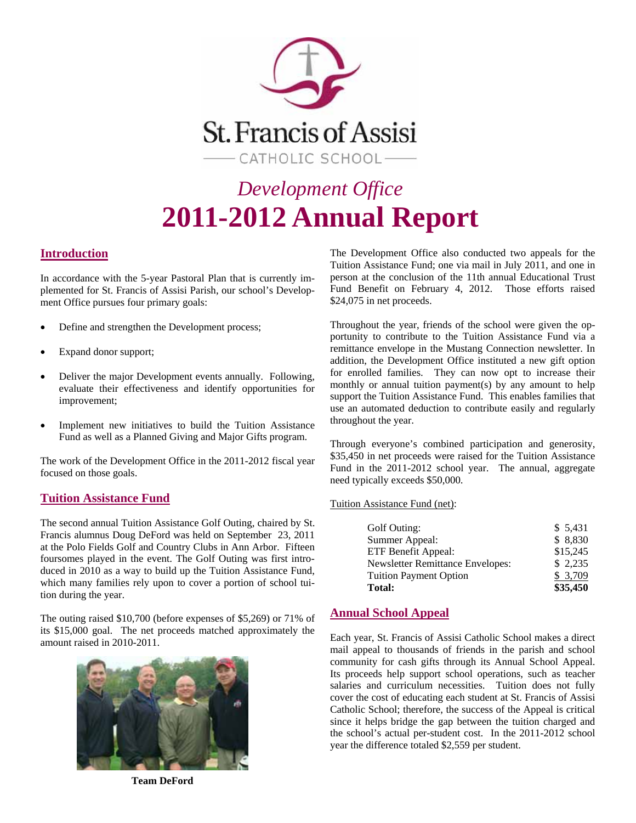

# *Development Office*  **2011-2012 Annual Report**

#### **Introduction**

In accordance with the 5-year Pastoral Plan that is currently implemented for St. Francis of Assisi Parish, our school's Development Office pursues four primary goals:

- Define and strengthen the Development process;
- Expand donor support;
- Deliver the major Development events annually. Following, evaluate their effectiveness and identify opportunities for improvement;
- Implement new initiatives to build the Tuition Assistance Fund as well as a Planned Giving and Major Gifts program.

The work of the Development Office in the 2011-2012 fiscal year focused on those goals.

#### **Tuition Assistance Fund**

The second annual Tuition Assistance Golf Outing, chaired by St. Francis alumnus Doug DeFord was held on September 23, 2011 at the Polo Fields Golf and Country Clubs in Ann Arbor. Fifteen foursomes played in the event. The Golf Outing was first introduced in 2010 as a way to build up the Tuition Assistance Fund, which many families rely upon to cover a portion of school tuition during the year.

The outing raised \$10,700 (before expenses of \$5,269) or 71% of its \$15,000 goal. The net proceeds matched approximately the amount raised in 2010-2011.



**Team DeFord** 

The Development Office also conducted two appeals for the Tuition Assistance Fund; one via mail in July 2011, and one in person at the conclusion of the 11th annual Educational Trust Fund Benefit on February 4, 2012. Those efforts raised \$24,075 in net proceeds.

Throughout the year, friends of the school were given the opportunity to contribute to the Tuition Assistance Fund via a remittance envelope in the Mustang Connection newsletter. In addition, the Development Office instituted a new gift option for enrolled families. They can now opt to increase their monthly or annual tuition payment(s) by any amount to help support the Tuition Assistance Fund. This enables families that use an automated deduction to contribute easily and regularly throughout the year.

Through everyone's combined participation and generosity, \$35,450 in net proceeds were raised for the Tuition Assistance Fund in the 2011-2012 school year. The annual, aggregate need typically exceeds \$50,000.

Tuition Assistance Fund (net):

| Golf Outing:                            | \$5,431  |
|-----------------------------------------|----------|
| Summer Appeal:                          | \$8,830  |
| ETF Benefit Appeal:                     | \$15,245 |
| <b>Newsletter Remittance Envelopes:</b> | \$2,235  |
| <b>Tuition Payment Option</b>           | \$3,709  |
| <b>Total:</b>                           | \$35,450 |

#### **Annual School Appeal**

Each year, St. Francis of Assisi Catholic School makes a direct mail appeal to thousands of friends in the parish and school community for cash gifts through its Annual School Appeal. Its proceeds help support school operations, such as teacher salaries and curriculum necessities. Tuition does not fully cover the cost of educating each student at St. Francis of Assisi Catholic School; therefore, the success of the Appeal is critical since it helps bridge the gap between the tuition charged and the school's actual per-student cost. In the 2011-2012 school year the difference totaled \$2,559 per student.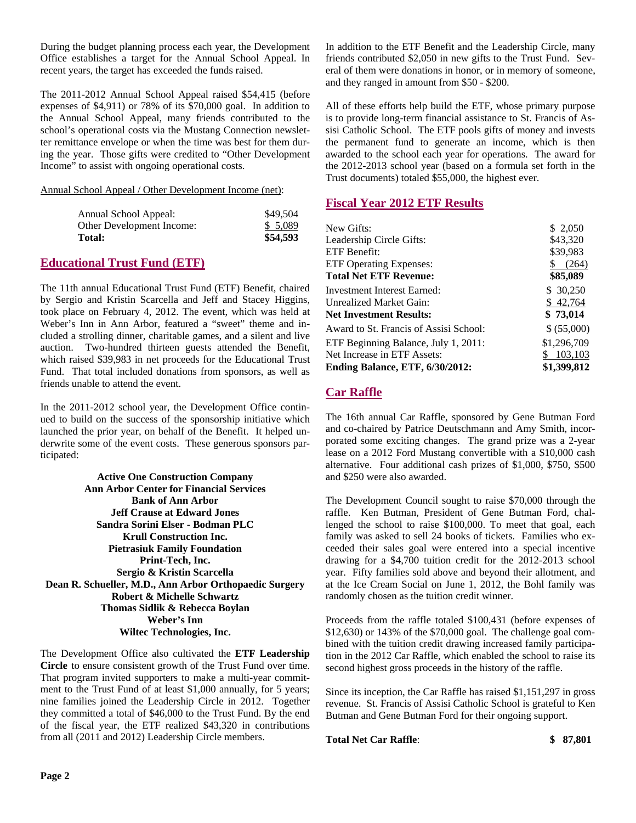During the budget planning process each year, the Development Office establishes a target for the Annual School Appeal. In recent years, the target has exceeded the funds raised.

The 2011-2012 Annual School Appeal raised \$54,415 (before expenses of \$4,911) or 78% of its \$70,000 goal. In addition to the Annual School Appeal, many friends contributed to the school's operational costs via the Mustang Connection newsletter remittance envelope or when the time was best for them during the year. Those gifts were credited to "Other Development Income" to assist with ongoing operational costs.

Annual School Appeal / Other Development Income (net):

| Annual School Appeal:     | \$49.504 |
|---------------------------|----------|
| Other Development Income: | \$ 5.089 |
| <b>Total:</b>             | \$54,593 |

#### **Educational Trust Fund (ETF)**

The 11th annual Educational Trust Fund (ETF) Benefit, chaired by Sergio and Kristin Scarcella and Jeff and Stacey Higgins, took place on February 4, 2012. The event, which was held at Weber's Inn in Ann Arbor, featured a "sweet" theme and included a strolling dinner, charitable games, and a silent and live auction. Two-hundred thirteen guests attended the Benefit, which raised \$39,983 in net proceeds for the Educational Trust Fund. That total included donations from sponsors, as well as friends unable to attend the event.

In the 2011-2012 school year, the Development Office continued to build on the success of the sponsorship initiative which launched the prior year, on behalf of the Benefit. It helped underwrite some of the event costs. These generous sponsors participated:

**Active One Construction Company Ann Arbor Center for Financial Services Bank of Ann Arbor Jeff Crause at Edward Jones Sandra Sorini Elser - Bodman PLC Krull Construction Inc. Pietrasiuk Family Foundation Print-Tech, Inc. Sergio & Kristin Scarcella Dean R. Schueller, M.D., Ann Arbor Orthopaedic Surgery Robert & Michelle Schwartz Thomas Sidlik & Rebecca Boylan Weber's Inn Wiltec Technologies, Inc.** 

The Development Office also cultivated the **ETF Leadership Circle** to ensure consistent growth of the Trust Fund over time. That program invited supporters to make a multi-year commitment to the Trust Fund of at least \$1,000 annually, for 5 years; nine families joined the Leadership Circle in 2012. Together they committed a total of \$46,000 to the Trust Fund. By the end of the fiscal year, the ETF realized \$43,320 in contributions from all (2011 and 2012) Leadership Circle members.

In addition to the ETF Benefit and the Leadership Circle, many friends contributed \$2,050 in new gifts to the Trust Fund. Several of them were donations in honor, or in memory of someone, and they ranged in amount from \$50 - \$200.

All of these efforts help build the ETF, whose primary purpose is to provide long-term financial assistance to St. Francis of Assisi Catholic School. The ETF pools gifts of money and invests the permanent fund to generate an income, which is then awarded to the school each year for operations. The award for the 2012-2013 school year (based on a formula set forth in the Trust documents) totaled \$55,000, the highest ever.

### **Fiscal Year 2012 ETF Results**

| New Gifts:                             | \$2,050     |
|----------------------------------------|-------------|
| Leadership Circle Gifts:               | \$43,320    |
| ETF Benefit:                           | \$39,983    |
| <b>ETF Operating Expenses:</b>         | (264)<br>\$ |
| <b>Total Net ETF Revenue:</b>          | \$85,089    |
| Investment Interest Earned:            | \$ 30,250   |
| Unrealized Market Gain:                | \$42,764    |
| <b>Net Investment Results:</b>         | \$73,014    |
| Award to St. Francis of Assisi School: | \$ (55,000) |
| ETF Beginning Balance, July 1, 2011:   | \$1,296,709 |
| Net Increase in ETF Assets:            | 103,103     |
| Ending Balance, ETF, 6/30/2012:        | \$1,399,812 |

## **Car Raffle**

The 16th annual Car Raffle, sponsored by Gene Butman Ford and co-chaired by Patrice Deutschmann and Amy Smith, incorporated some exciting changes. The grand prize was a 2-year lease on a 2012 Ford Mustang convertible with a \$10,000 cash alternative. Four additional cash prizes of \$1,000, \$750, \$500 and \$250 were also awarded.

The Development Council sought to raise \$70,000 through the raffle. Ken Butman, President of Gene Butman Ford, challenged the school to raise \$100,000. To meet that goal, each family was asked to sell 24 books of tickets. Families who exceeded their sales goal were entered into a special incentive drawing for a \$4,700 tuition credit for the 2012-2013 school year. Fifty families sold above and beyond their allotment, and at the Ice Cream Social on June 1, 2012, the Bohl family was randomly chosen as the tuition credit winner.

Proceeds from the raffle totaled \$100,431 (before expenses of \$12,630) or 143% of the \$70,000 goal. The challenge goal combined with the tuition credit drawing increased family participation in the 2012 Car Raffle, which enabled the school to raise its second highest gross proceeds in the history of the raffle.

Since its inception, the Car Raffle has raised \$1,151,297 in gross revenue. St. Francis of Assisi Catholic School is grateful to Ken Butman and Gene Butman Ford for their ongoing support.

**Total Net Car Raffle**: **\$ 87,801**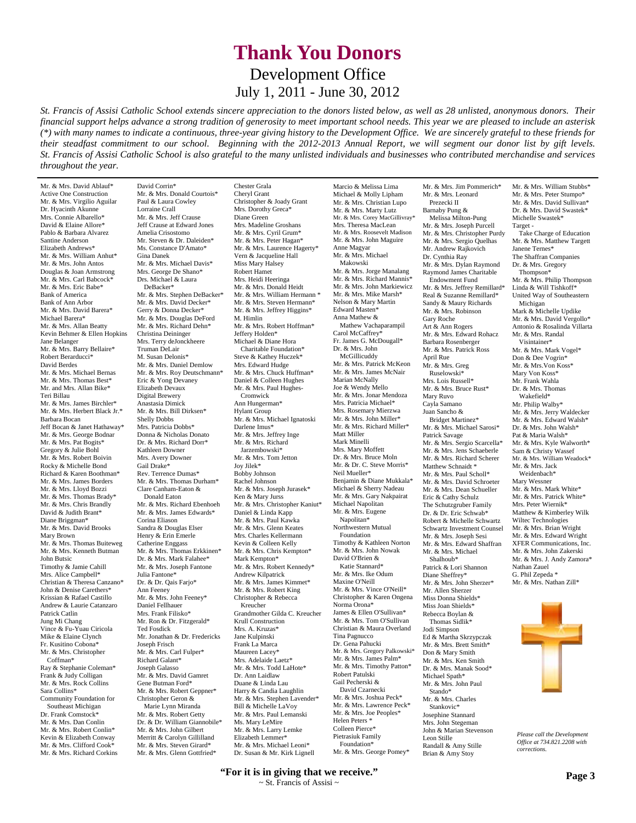## **Thank You Donors** Development Office July 1, 2011 - June 30, 2012

*St. Francis of Assisi Catholic School extends sincere appreciation to the donors listed below, as well as 28 unlisted, anonymous donors. Their financial support helps advance a strong tradition of generosity to meet important school needs. This year we are pleased to include an asterisk (\*) with many names to indicate a continuous, three-year giving history to the Development Office. We are sincerely grateful to these friends for their steadfast commitment to our school. Beginning with the 2012-2013 Annual Report, we will segment our donor list by gift levels. St. Francis of Assisi Catholic School is also grateful to the many unlisted individuals and businesses who contributed merchandise and services throughout the year.*

Chester Grala

Mr. & Mrs. David Ablauf\* Active One Construction Mr. & Mrs. Virgilio Aguilar Dr. Hyacinth Akunne Mrs. Connie Albarello\* David & Elaine Allore\* Pablo & Barbara Alvarez Santine Anderson Elizabeth Andrews\* Mr. & Mrs. William Anhut\* Mr. & Mrs. John Antos Douglas & Joan Armstrong Mr. & Mrs. Carl Babcock\* Mr. & Mrs. Eric Babe\* Bank of America Bank of Ann Arbor Mr. & Mrs. David Barera\* Michael Barera\* Mr. & Mrs. Allan Beatty Kevin Behmer & Ellen Hopkins Jane Belanger Mr. & Mrs. Barry Bellaire\* Robert Berarducci\* David Berdes Mr. & Mrs. Michael Bernas Mr. & Mrs. Thomas Best\* Mr. and Mrs. Allan Bike\* Teri Billau Mr. & Mrs. James Birchler\* Mr. & Mrs. Herbert Black Jr.\* Barbara Bocan Jeff Bocan & Janet Hathaway\* Mr. & Mrs. George Bodnar Mr. & Mrs. Pat Bogits\* Gregory & Julie Bohl Mr. & Mrs. Robert Boivin Rocky & Michelle Bond Richard & Karen Boothman\* Mr. & Mrs. James Borders Mr. & Mrs. Lloyd Bozzi Mr. & Mrs. Thomas Brady\* Mr. & Mrs. Chris Brandly David & Judith Brant\* Diane Briggman\* Mr. & Mrs. David Brooks Mary Brown Mr. & Mrs. Thomas Buiteweg Mr. & Mrs. Kenneth Butman John Butsic Timothy & Jamie Cahill Mrs. Alice Campbell\* Christian & Theresa Canzano\* John & Denise Carethers\* Krissian & Rafael Castillo Andrew & Laurie Catanzaro Patrick Catlin Jung Mi Chang Vince & Fu-Yuau Ciricola Mike & Elaine Clynch Fr. Kusitino Cobona\* Mr. & Mrs. Christopher Coffman\* Ray & Stephanie Coleman\* Frank & Judy Colligan Mr. & Mrs. Rock Collins Sara Collins\* Community Foundation for Southeast Michigan Dr. Frank Comstock\* Mr. & Mrs. Dan Conlin Mr. & Mrs. Robert Conlin\* Kevin & Elizabeth Conway Mr. & Mrs. Clifford Cook\* Mr. & Mrs. Richard Corkins

David Corrin\* Mr. & Mrs. Donald Courtois\* Paul & Laura Cowley Lorraine Crall Mr. & Mrs. Jeff Crause Jeff Crause at Edward Jones Amelia Crisostomo Mr. Steven & Dr. Daleiden\* Ms. Constance D'Amato\* Gina Danek Mr. & Mrs. Michael Davis\* Mrs. George De Shano\* Drs. Michael & Laura DeBacker\* Mr. & Mrs. Stephen DeBacker\* Mr. & Mrs. David Decker\* Gerry & Donna Decker\* Mr. & Mrs. Douglas DeFord Mr. & Mrs. Richard Dehn\* Christina Deininger Mrs. Terry deJonckheere Truman DeLair M. Susan Delonis\* Mr. & Mrs. Daniel Demlow Mr. & Mrs. Roy Deutschmann\* Eric & Yong Devaney Elizabeth Devaux Digital Brewery Anastasia Dimick Mr. & Mrs. Bill Dirksen\* Shelly Dobbs Mrs. Patricia Dobbs\* Donna & Nicholas Donato Dr. & Mrs. Richard Dorr\* Kathleen Downer Mrs. Avery Downer Gail Drake\* Rev. Terrence Dumas\* Mr. & Mrs. Thomas Durham\* Clare Canham-Eaton & Donald Eaton Mr. & Mrs. Richard Ebenhoeh Mr. & Mrs. James Edwards\* Corina Eliason Sandra & Douglas Elser Henry & Erin Emerle Catherine Enggass Mr. & Mrs. Thomas Erkkinen\* Dr. & Mrs. Mark Falahee\* Mr. & Mrs. Joseph Fantone Julia Fantone\* Dr. & Dr. Qais Farjo\* Ann Feeney Mr. & Mrs. John Feeney\* Daniel Fellhauer Mrs. Frank Filisko\* Mr. Ron & Dr. Fitzgerald\* Ted Fosdick Mr. Jonathan & Dr. Fredericks Joseph Frisch Mr. & Mrs. Carl Fulper\* Richard Galant\* Joseph Galasso Mr. & Mrs. David Gamret Gene Butman Ford\* Mr. & Mrs. Robert Geppner<sup>\*</sup> Christopher Geron & Marie Lynn Miranda Mr. & Mrs. Robert Getty Dr. & Dr. William Giannobile\* Mr. & Mrs. John Gilbert Merritt & Carolyn Gillilland Mr. & Mrs. Steven Girard\* Mr. & Mrs. Glenn Gottfried\*

Cheryl Grant Christopher & Joady Grant Mrs. Dorothy Greca\* Diane Green Mrs. Madeline Groshans Mr. & Mrs. Cyril Grum\* Mr. & Mrs. Peter Hagan\* Mr. & Mrs. Laurence Hagerty\* Vern & Jacqueline Hall Miss Mary Halsey Robert Hamet Mrs. Heidi Heeringa Mr. & Mrs. Donald Heidt Mr. & Mrs. William Hermann \* Mr. & Mrs. Steven Hermann\* Mr. & Mrs. Jeffrey Higgins\* M. Himlin Mr. & Mrs. Robert Hoffman\* Jeffery Holden\* Michael & Diane Hora Charitable Foundation\* Steve & Kathey Huczek\* Mrs. Edward Hudge Mr. & Mrs. Chuck Huffman\* Daniel & Colleen Hughes Mr. & Mrs. Paul Hughes- Cromwick Ann Hungerman<sup>\*</sup> Hylant Group Mr. & Mrs. Michael Ignatoski Darlene Imus\* Mr. & Mrs. Jeffrey Inge Mr. & Mrs. Richard Jarzembowski\* Mr. & Mrs. Tom Jetton Joy Jilek\* Bobby Johnson Rachel Johnson Mr. & Mrs. Joseph Jurasek\* Ken & Mary Jurss Mr. & Mrs. Christopher Kaniut\* Daniel & Linda Kapp Mr. & Mrs. Paul Kawka Mr. & Mrs. Glenn Keates Mrs. Charles Kellermann Kevin & Colleen Kelly Mr. & Mrs. Chris Kempton\* Mark Kempton\* Mr. & Mrs. Robert Kennedy\* Andrew Kilpatrick Mr. & Mrs. James Kimmet\* Mr. & Mrs. Robert King Christopher & Rebecca Kreucher Grandmother Gilda C. Kreucher Krull Construction Mrs. A. Kruzas\* Jane Kulpinski Frank La Marca Maureen Lacey\* Mrs. Adelaide Laetz\* Mr. & Mrs. Todd LaHote\* Dr. Ann Laidlaw Duane & Linda Lau Harry & Candia Laughlin Mr. & Mrs. Stephen Lavender\* Bill & Michelle LaVoy Mr. & Mrs. Paul Lemanski Ms. Mary LeMire Mr. & Mrs. Larry Lemke Elizabeth Lemmer\* Mr. & Mrs. Michael Leoni\* Dr. Susan & Mr. Kirk Lignell

Marcio & Melissa Lima Michael & Molly Lipham Mr. & Mrs. Christian Lupo Mr. & Mrs. Marty Lutz Mr. & Mrs. Corey MacGillivray<sup>\*</sup> Mrs. Theresa MacLean Mr. & Mrs. Roosevelt Madison Mr. & Mrs. John Maguire Anne Magyar Mr. & Mrs. Michael Makowski Mr. & Mrs. Jorge Manalang Mr. & Mrs. Richard Mannis\* Mr. & Mrs. John Markiewicz Mr. & Mrs. Mike Marsh\* Nelson & Mary Martin Edward Masten\* Anna Mathew & Mathew Vachaparampil Carol McCaffrey\* Fr. James G. McDougall\* Dr. & Mrs. John McGillicuddy Mr. & Mrs. Patrick McKeon Mr. & Mrs. James McNair Marian McNally Joe & Wendy Mello Mr. & Mrs. Jonar Mendoza Mrs. Patricia Michael\* Mrs. Rosemary Mierzwa Mr. & Mrs. John Miller\* Mr. & Mrs. Richard Miller\* Matt Miller Mark Minelli Mrs. Mary Moffett Dr. & Mrs. Bruce Moln Mr. & Dr. C. Steve Morris\* Neil Mueller\* Benjamin & Diane Mukkala\* Michael & Sherry Nadeau Mr. & Mrs. Gary Nakpairat Michael Napolitan Mr. & Mrs. Eugene Napolitan\* Northwestern Mutual Foundation Timothy & Kathleen Norton Mr. & Mrs. John Nowak David O'Brien & Katie Stannard<sup>\*</sup> Mr. & Mrs. Ike Odum Maxine O'Neill Mr. & Mrs. Vince O'Neill\* Christopher & Karen Ongena Norma Orona\* James & Ellen O'Sullivan\* Mr. & Mrs. Tom O'Sullivan Christian & Maura Overland Tina Pagnucco Dr. Gena Pahucki Mr. & Mrs. Gregory Palkowski\* Mr. & Mrs. James Palm\* Mr. & Mrs. Timothy Patton\* Robert Patulski Gail Pecherski & David Czarnecki Mr. & Mrs. Joshua Peck\* Mr. & Mrs. Lawrence Peck\* Mr. & Mrs. Joe Peoples\* Helen Peters \* Colleen Pierce\* Pietrasiuk Family Foundation\* Mr. & Mrs. George Pomey\*

Mr. & Mrs. Leonard Prezecki II Barnaby Pung & Melissa Milton-Pung Mr. & Mrs. Joseph Purcell Mr. & Mrs. Christopher Purdy Mr. & Mrs. Sergio Quelhas Mr. Andrew Rajkovich Dr. Cynthia Ray Mr. & Mrs. Dylan Raymond Raymond James Charitable Endowment Fund Mr. & Mrs. Jeffrey Remillard\* Real & Suzanne Remillard\* Sandy & Maury Richards Mr. & Mrs. Robinson Gary Roche Art & Ann Rogers Mr. & Mrs. Edward Rohacz Barbara Rosenberger Mr. & Mrs. Patrick Ross April Rue Mr. & Mrs. Greg Ruselowski\* Mrs. Lois Russell\* Mr. & Mrs. Bruce Rust\* Mary Ruvo Cayla Samano Juan Sancho & Bridget Martinez\* Mr. & Mrs. Michael Sarosi\* Patrick Savage Mr. & Mrs. Sergio Scarcella\* Mr. & Mrs. Jens Schaeberle Mr. & Mrs. Richard Scherer Matthew Schnaidt \* Mr. & Mrs. Paul Scholl\* Mr. & Mrs. David Schroeter Mr. & Mrs. Dean Schueller Eric & Cathy Schulz The Schutzgruber Family Dr. & Dr. Eric Schwab\* Robert & Michelle Schwartz Schwartz Investment Counsel Mr. & Mrs. Joseph Sesi Mr. & Mrs. Edward Shaffran Mr. & Mrs. Michael Shalhoub\* Patrick & Lori Shannon Diane Sheffrey\* Mr. & Mrs. John Sherzer\* Mr. Allen Sherzer Miss Donna Shields\* Miss Joan Shields\* Rebecca Boylan & Thomas Sidlik\* Jodi Simpson Ed & Martha Skrzypczak Mr. & Mrs. Brett Smith\* Don & Mary Smith Mr. & Mrs. Ken Smith Dr. & Mrs. Manak Sood<sup>\*</sup> Michael Spath\* Mr. & Mrs. John Paul Stando\* Mr. & Mrs. Charles Stankovic\* Josephine Stannard Mrs. John Stegeman John & Marian Stevenson Leon Stille Randall & Amy Stille Brian & Amy Stoy

Mr. & Mrs. Jim Pommerich\*

Mr. & Mrs. William Stubbs\* Mr. & Mrs. Peter Stumpo\* Mr. & Mrs. David Sullivan\* Dr. & Mrs. David Swastek\* Michelle Swastek\* Target - Take Charge of Education Mr. & Mrs. Matthew Targett Janene Ternes\* The Shaffran Companies Dr. & Mrs. Gregory Thompson\* Mr. & Mrs. Philip Thompson Linda & Will Tishkoff\* United Way of Southeastern Michigan Mark & Michelle Updike Mr. & Mrs. David Vergollo\* Antonio & Rosalinda Villarta Mr. & Mrs. Randal Visintainer\* Mr. & Mrs. Mark Vogel\* Don & Dee Vogrin\* Mr. & Mrs. Von Koss\* Mary Von Koss\* Mr. Frank Wahla Dr. & Mrs. Thomas Wakefield\* Mr. Philip Walby\* Mr. & Mrs. Jerry Waldecker Mr. & Mrs. Edward Walsh\* Dr. & Mrs. John Walsh\* Pat & Maria Walsh\* Mr. & Mrs. Kyle Walworth\* Sam & Christy Wassef Mr. & Mrs. William Weadock\* Mr. & Mrs. Jack Weidenbach\* Mary Wessner Mr. & Mrs. Mark White\* Mr. & Mrs. Patrick White\* Mrs. Peter Wiernik\* Matthew & Kimberley Wilk Wiltec Technologies Mr. & Mrs. Brian Wright Mr. & Mrs. Edward Wright XFER Communications, Inc. Mr. & Mrs. John Zakerski Mr. & Mrs. J. Andy Zamora\* Nathan Zauel G. Phil Zepeda \* Mr. & Mrs. Nathan Zill\*



*Please call the Development Office at 734.821.2208 with corrections.* 

#### **"For it is in giving that we receive."**   $\sim$  St. Francis of Assisi  $\sim$